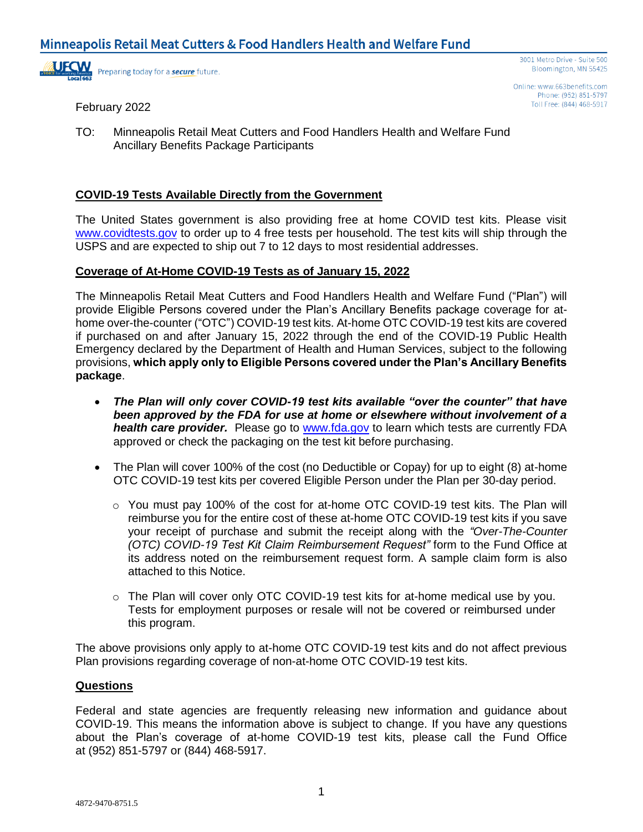

Online: www.663benefits.com Phone: (952) 851-5797 Toll Free: (844) 468-5917

February 2022

TO: Minneapolis Retail Meat Cutters and Food Handlers Health and Welfare Fund Ancillary Benefits Package Participants

# **COVID-19 Tests Available Directly from the Government**

The United States government is also providing free at home COVID test kits. Please visit [www.covidtests.gov](http://www.covidtests.gov/) to order up to 4 free tests per household. The test kits will ship through the USPS and are expected to ship out 7 to 12 days to most residential addresses.

### **Coverage of At-Home COVID-19 Tests as of January 15, 2022**

The Minneapolis Retail Meat Cutters and Food Handlers Health and Welfare Fund ("Plan") will provide Eligible Persons covered under the Plan's Ancillary Benefits package coverage for athome over-the-counter ("OTC") COVID-19 test kits. At-home OTC COVID-19 test kits are covered if purchased on and after January 15, 2022 through the end of the COVID-19 Public Health Emergency declared by the Department of Health and Human Services, subject to the following provisions, **which apply only to Eligible Persons covered under the Plan's Ancillary Benefits package**.

- *The Plan will only cover COVID-19 test kits available "over the counter" that have been approved by the FDA for use at home or elsewhere without involvement of a health care provider.* Please go to [www.fda.gov](http://www.fda.gov/) to learn which tests are currently FDA approved or check the packaging on the test kit before purchasing.
- The Plan will cover 100% of the cost (no Deductible or Copay) for up to eight (8) at-home OTC COVID-19 test kits per covered Eligible Person under the Plan per 30-day period.
	- o You must pay 100% of the cost for at-home OTC COVID-19 test kits. The Plan will reimburse you for the entire cost of these at-home OTC COVID-19 test kits if you save your receipt of purchase and submit the receipt along with the *"Over-The-Counter (OTC) COVID-19 Test Kit Claim Reimbursement Request"* form to the Fund Office at its address noted on the reimbursement request form. A sample claim form is also attached to this Notice.
	- o The Plan will cover only OTC COVID-19 test kits for at-home medical use by you. Tests for employment purposes or resale will not be covered or reimbursed under this program.

The above provisions only apply to at-home OTC COVID-19 test kits and do not affect previous Plan provisions regarding coverage of non-at-home OTC COVID-19 test kits.

#### **Questions**

Federal and state agencies are frequently releasing new information and guidance about COVID-19. This means the information above is subject to change. If you have any questions about the Plan's coverage of at-home COVID-19 test kits, please call the Fund Office at (952) 851-5797 or (844) 468-5917.